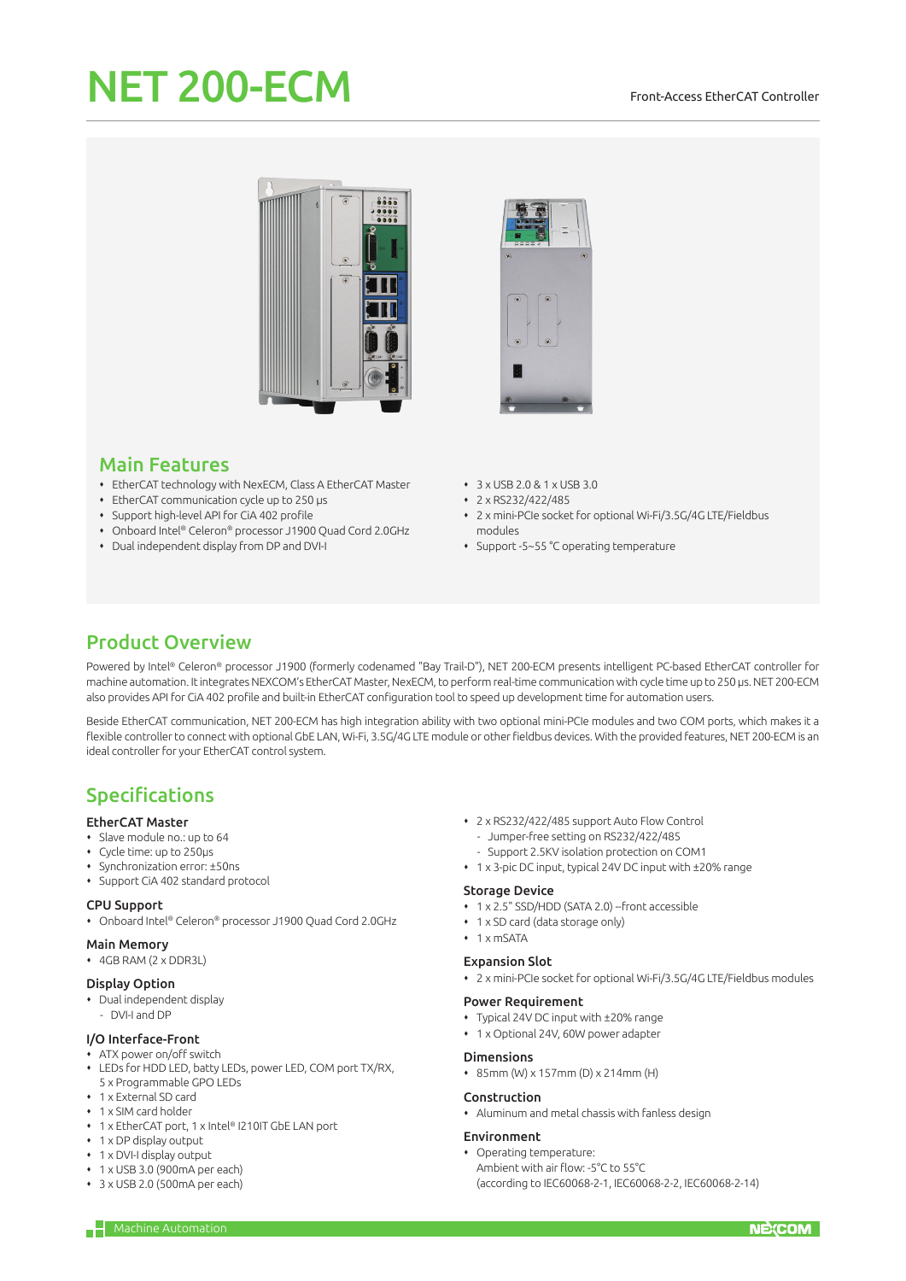#### Front-Access EtherCAT Controller

# NET 200-ECM





## Main Features

- EtherCAT technology with NexECM, Class A EtherCAT Master
- EtherCAT communication cycle up to 250 μs
- Support high-level API for CiA 402 profile
- Onboard Intel® Celeron® processor J1900 Quad Cord 2.0GHz
- Dual independent display from DP and DVI-I
- 3 x USB 2.0 & 1 x USB 3.0
- 2 x RS232/422/485
- 2 x mini-PCIe socket for optional Wi-Fi/3.5G/4G LTE/Fieldbus modules
- Support -5~55 °C operating temperature

# Product Overview

Powered by Intel® Celeron® processor J1900 (formerly codenamed "Bay Trail-D"), NET 200-ECM presents intelligent PC-based EtherCAT controller for machine automation. It integrates NEXCOM's EtherCAT Master, NexECM, to perform real-time communication with cycle time up to 250 μs. NET 200-ECM also provides API for CiA 402 profile and built-in EtherCAT configuration tool to speed up development time for automation users.

Beside EtherCAT communication, NET 200-ECM has high integration ability with two optional mini-PCIe modules and two COM ports, which makes it a flexible controller to connect with optional GbE LAN, Wi-Fi, 3.5G/4G LTE module or other fieldbus devices. With the provided features, NET 200-ECM is an ideal controller for your EtherCAT control system.

# Specifications

#### EtherCAT Master

- Slave module no.: up to 64
- Cycle time: up to 250μs
- Synchronization error: ±50ns
- Support CiA 402 standard protocol

#### CPU Support

Onboard Intel® Celeron® processor J1900 Quad Cord 2.0GHz

- Main Memory
- 4GB RAM (2 x DDR3L)

#### Display Option

- Dual independent display
- DVI-I and DP

### I/O Interface-Front

- ATX power on/off switch
- LEDs for HDD LED, batty LEDs, power LED, COM port TX/RX, 5 x Programmable GPO LEDs
- 1 x External SD card
- 1 x SIM card holder
- 1 x EtherCAT port, 1 x Intel® I210IT GbE LAN port
- $\cdot$  1 x DP display output
- 1 x DVI-I display output
- 1 x USB 3.0 (900mA per each)
- 3 x USB 2.0 (500mA per each)
- 2 x RS232/422/485 support Auto Flow Control
	- Jumper-free setting on RS232/422/485
	- Support 2.5KV isolation protection on COM1
- 1 x 3-pic DC input, typical 24V DC input with ±20% range

#### Storage Device

- 1 x 2.5" SSD/HDD (SATA 2.0) --front accessible
- 1 x SD card (data storage only)
- $\cdot$  1 x mSATA

#### Expansion Slot

2 x mini-PCIe socket for optional Wi-Fi/3.5G/4G LTE/Fieldbus modules

#### Power Requirement

- Typical 24V DC input with ±20% range
- 1 x Optional 24V, 60W power adapter

#### Dimensions

85mm (W) x 157mm (D) x 214mm (H)

#### Construction

Aluminum and metal chassis with fanless design

#### Environment

 Operating temperature: Ambient with air flow: -5°C to 55°C (according to IEC60068-2-1, IEC60068-2-2, IEC60068-2-14)

 $\overline{\phantom{a} \phantom{a}}$  Machine Automation